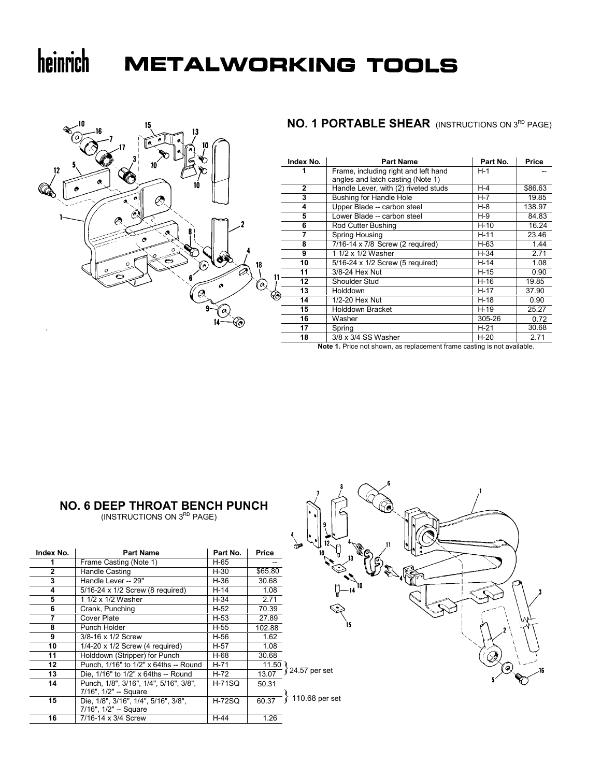

### **METALWORKING TOOLS**



**Note 1.** Price not shown, as replacement frame casting is not available.

### **NO. 6 DEEP THROAT BENCH PUNCH**

(INSTRUCTIONS ON 3RD PAGE)

| Index No.    | <b>Part Name</b>                         | Part No.      | Price   |            |
|--------------|------------------------------------------|---------------|---------|------------|
|              | Frame Casting (Note 1)                   | H-65          |         |            |
| $\mathbf{2}$ | Handle Casting                           | H-30          | \$65.80 |            |
| 3            | Handle Lever -- 29"                      | H-36          | 30.68   |            |
| 4            | 5/16-24 x 1/2 Screw (8 required)         | $H-14$        | 1.08    |            |
| 5            | 1 1/2 x 1/2 Washer                       | $H-34$        | 2.71    |            |
| 6            | Crank, Punching                          | $H-52$        | 70.39   |            |
| 7            | Cover Plate                              | $H-53$        | 27.89   |            |
| 8            | Punch Holder                             | H-55          | 102.88  |            |
| 9            | 3/8-16 x 1/2 Screw                       | H-56          | 1.62    |            |
| 10           | $1/4 - 20 \times 1/2$ Screw (4 required) | H-57          | 1.08    |            |
| 11           | Holddown (Stripper) for Punch            | H-68          | 30.68   |            |
| 12           | Punch, 1/16" to 1/2" x 64ths -- Round    | $H-71$        | 11.50   |            |
| 13           | Die, 1/16" to 1/2" x 64ths -- Round      | H-72          | 13.07   | ∫24.57 per |
| 14           | Punch, 1/8", 3/16", 1/4", 5/16", 3/8",   | <b>H-71SQ</b> | 50.31   |            |
|              | 7/16", 1/2" -- Square                    |               |         |            |
| 15           | Die, 1/8", 3/16", 1/4", 5/16", 3/8",     | <b>H-72SQ</b> | 60.37   | 110.68 p   |
|              | 7/16", 1/2" -- Square                    |               |         |            |
| 16           | 7/16-14 x 3/4 Screw                      | $H-44$        | 1.26    |            |
|              |                                          |               |         |            |

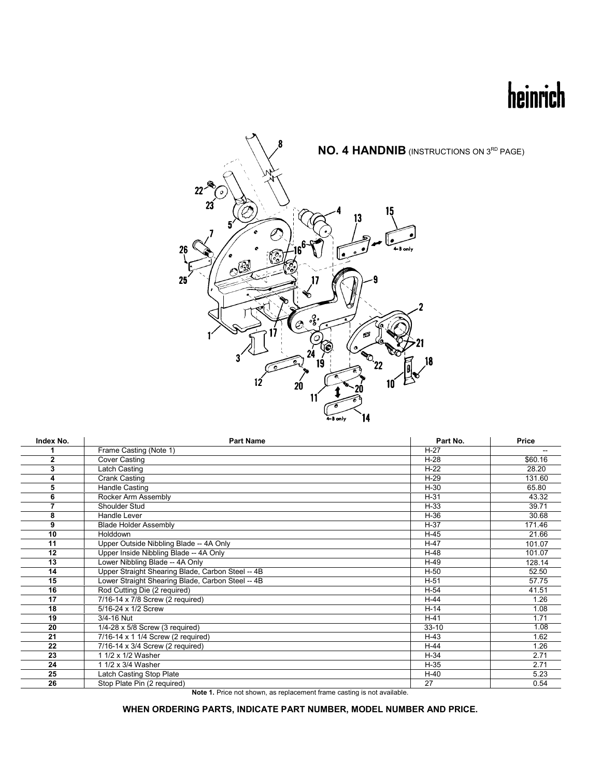# heinrich



| Index No.    | <b>Part Name</b>                                  | Part No.  | Price   |
|--------------|---------------------------------------------------|-----------|---------|
|              | Frame Casting (Note 1)                            | $H-27$    |         |
| $\mathbf{2}$ | Cover Casting                                     | $H-28$    | \$60.16 |
| 3            | Latch Casting                                     | $H-22$    | 28.20   |
| 4            | Crank Casting                                     | $H-29$    | 131.60  |
| 5            | Handle Casting                                    | $H-30$    | 65.80   |
| 6            | Rocker Arm Assembly                               | $H-31$    | 43.32   |
| 7            | Shoulder Stud                                     | $H-33$    | 39.71   |
| 8            | Handle Lever                                      | H-36      | 30.68   |
| 9            | <b>Blade Holder Assembly</b>                      | $H-37$    | 171.46  |
| 10           | Holddown                                          | $H-45$    | 21.66   |
| 11           | Upper Outside Nibbling Blade -- 4A Only           | $H-47$    | 101.07  |
| 12           | Upper Inside Nibbling Blade -- 4A Only            | $H-48$    | 101.07  |
| 13           | Lower Nibbling Blade -- 4A Only                   | $H-49$    | 128.14  |
| 14           | Upper Straight Shearing Blade, Carbon Steel -- 4B | $H-50$    | 52.50   |
| 15           | Lower Straight Shearing Blade, Carbon Steel -- 4B | $H-51$    | 57.75   |
| 16           | Rod Cutting Die (2 required)                      | $H-54$    | 41.51   |
| 17           | 7/16-14 x 7/8 Screw (2 required)                  | $H-44$    | 1.26    |
| 18           | 5/16-24 x 1/2 Screw                               | $H-14$    | 1.08    |
| 19           | 3/4-16 Nut                                        | $H-41$    | 1.71    |
| 20           | 1/4-28 x 5/8 Screw (3 required)                   | $33 - 10$ | 1.08    |
| 21           | 7/16-14 x 1 1/4 Screw (2 required)                | $H-43$    | 1.62    |
| 22           | 7/16-14 x 3/4 Screw (2 required)                  | $H-44$    | 1.26    |
| 23           | 1 1/2 x 1/2 Washer                                | $H-34$    | 2.71    |
| 24           | 1 1/2 x 3/4 Washer                                | $H-35$    | 2.71    |
| 25           | Latch Casting Stop Plate                          | $H-40$    | 5.23    |
| 26           | Stop Plate Pin (2 required)                       | 27        | 0.54    |

**Note 1.** Price not shown, as replacement frame casting is not available.

**WHEN ORDERING PARTS, INDICATE PART NUMBER, MODEL NUMBER AND PRICE.**